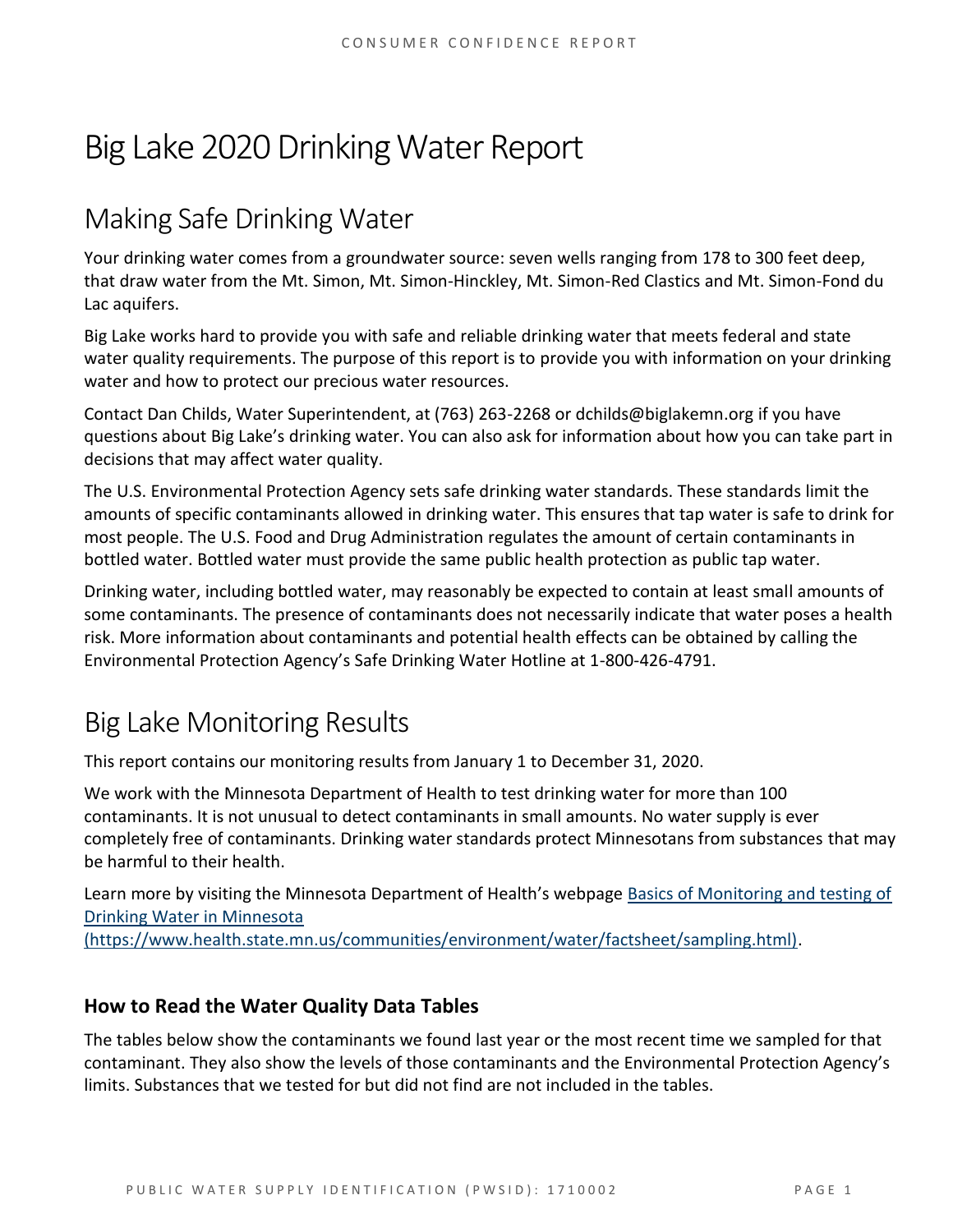# Big Lake 2020 Drinking Water Report

## Making Safe Drinking Water

Your drinking water comes from a groundwater source: seven wells ranging from 178 to 300 feet deep, that draw water from the Mt. Simon, Mt. Simon-Hinckley, Mt. Simon-Red Clastics and Mt. Simon-Fond du Lac aquifers.

Big Lake works hard to provide you with safe and reliable drinking water that meets federal and state water quality requirements. The purpose of this report is to provide you with information on your drinking water and how to protect our precious water resources.

Contact Dan Childs, Water Superintendent, at (763) 263-2268 or dchilds@biglakemn.org if you have questions about Big Lake's drinking water. You can also ask for information about how you can take part in decisions that may affect water quality.

The U.S. Environmental Protection Agency sets safe drinking water standards. These standards limit the amounts of specific contaminants allowed in drinking water. This ensures that tap water is safe to drink for most people. The U.S. Food and Drug Administration regulates the amount of certain contaminants in bottled water. Bottled water must provide the same public health protection as public tap water.

Drinking water, including bottled water, may reasonably be expected to contain at least small amounts of some contaminants. The presence of contaminants does not necessarily indicate that water poses a health risk. More information about contaminants and potential health effects can be obtained by calling the Environmental Protection Agency's Safe Drinking Water Hotline at 1-800-426-4791.

## Big Lake Monitoring Results

This report contains our monitoring results from January 1 to December 31, 2020.

We work with the Minnesota Department of Health to test drinking water for more than 100 contaminants. It is not unusual to detect contaminants in small amounts. No water supply is ever completely free of contaminants. Drinking water standards protect Minnesotans from substances that may be harmful to their health.

Learn more by visiting the Minnesota Department of Health's webpage [Basics of Monitoring and testing of](https://www.health.state.mn.us/communities/environment/water/factsheet/sampling.html)  [Drinking Water](https://www.health.state.mn.us/communities/environment/water/factsheet/sampling.html) in Minnesota

[\(https://www.health.state.mn.us/communities/environment/water/factsheet/sampling.html\).](https://www.health.state.mn.us/communities/environment/water/factsheet/sampling.html)

### **How to Read the Water Quality Data Tables**

The tables below show the contaminants we found last year or the most recent time we sampled for that contaminant. They also show the levels of those contaminants and the Environmental Protection Agency's limits. Substances that we tested for but did not find are not included in the tables.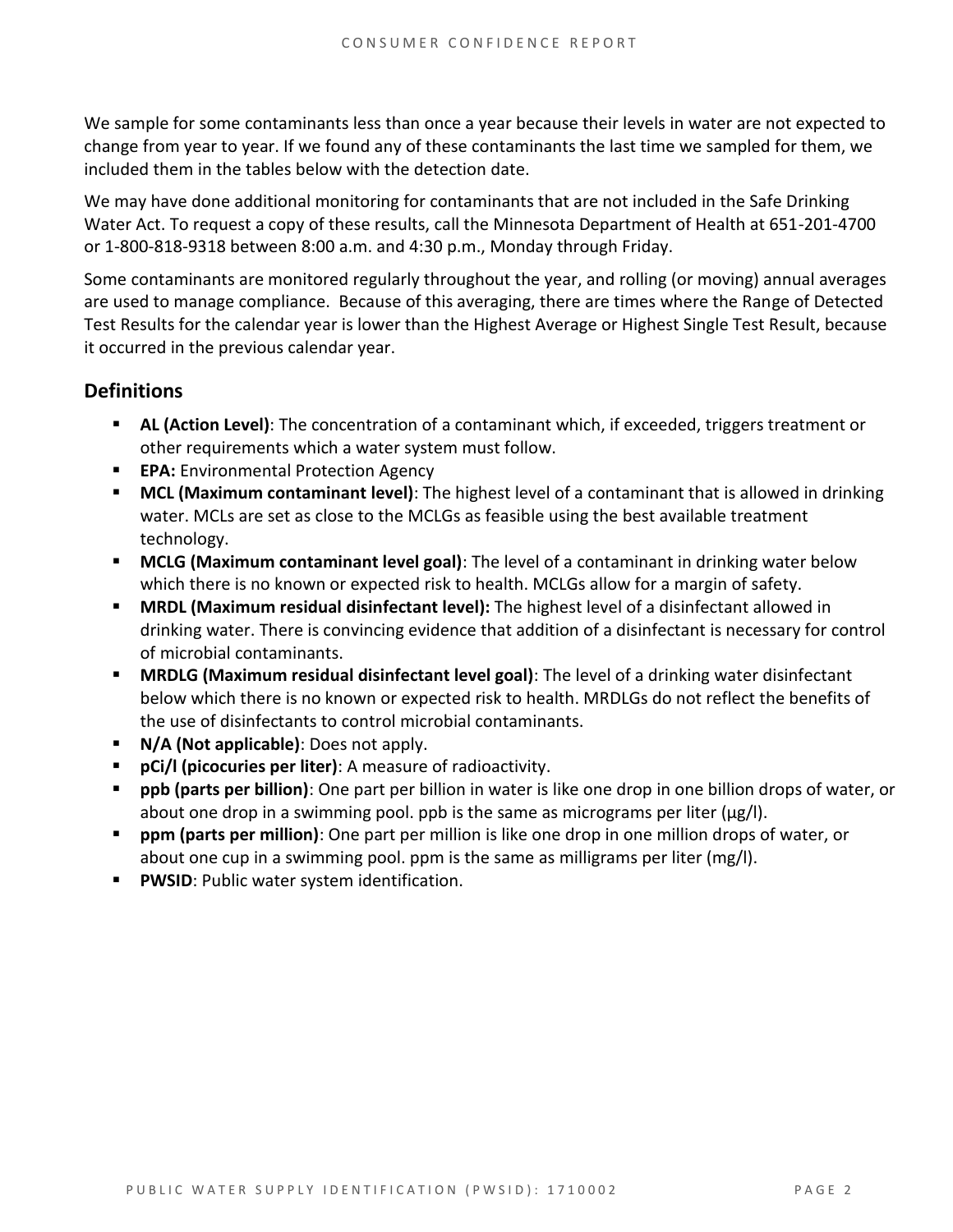We sample for some contaminants less than once a year because their levels in water are not expected to change from year to year. If we found any of these contaminants the last time we sampled for them, we included them in the tables below with the detection date.

We may have done additional monitoring for contaminants that are not included in the Safe Drinking Water Act. To request a copy of these results, call the Minnesota Department of Health at 651-201-4700 or 1-800-818-9318 between 8:00 a.m. and 4:30 p.m., Monday through Friday.

Some contaminants are monitored regularly throughout the year, and rolling (or moving) annual averages are used to manage compliance. Because of this averaging, there are times where the Range of Detected Test Results for the calendar year is lower than the Highest Average or Highest Single Test Result, because it occurred in the previous calendar year.

### **Definitions**

- **AL (Action Level)**: The concentration of a contaminant which, if exceeded, triggers treatment or other requirements which a water system must follow.
- **EPA:** Environmental Protection Agency
- **MCL (Maximum contaminant level)**: The highest level of a contaminant that is allowed in drinking water. MCLs are set as close to the MCLGs as feasible using the best available treatment technology.
- **MCLG (Maximum contaminant level goal)**: The level of a contaminant in drinking water below which there is no known or expected risk to health. MCLGs allow for a margin of safety.
- **MRDL (Maximum residual disinfectant level):** The highest level of a disinfectant allowed in drinking water. There is convincing evidence that addition of a disinfectant is necessary for control of microbial contaminants.
- **MRDLG (Maximum residual disinfectant level goal)**: The level of a drinking water disinfectant below which there is no known or expected risk to health. MRDLGs do not reflect the benefits of the use of disinfectants to control microbial contaminants.
- **N/A (Not applicable)**: Does not apply.
- **pCi/l (picocuries per liter)**: A measure of radioactivity.
- **ppb (parts per billion)**: One part per billion in water is like one drop in one billion drops of water, or about one drop in a swimming pool. ppb is the same as micrograms per liter (μg/l).
- **ppm (parts per million)**: One part per million is like one drop in one million drops of water, or about one cup in a swimming pool. ppm is the same as milligrams per liter (mg/l).
- **PWSID**: Public water system identification.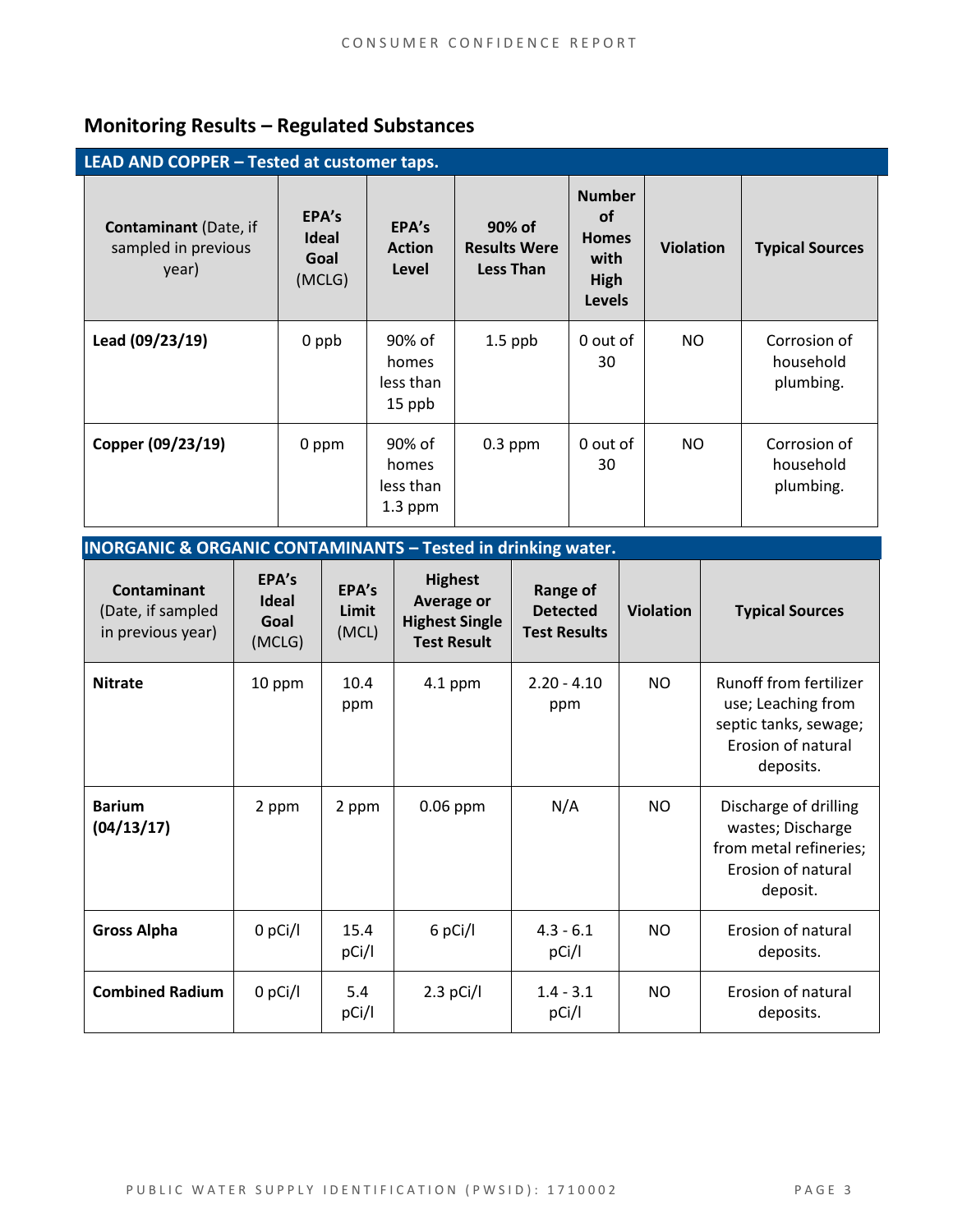## **Monitoring Results – Regulated Substances**

| LEAD AND COPPER - Tested at customer taps.                   |                                         |                                           |                                                   |                                                                             |                  |                                        |
|--------------------------------------------------------------|-----------------------------------------|-------------------------------------------|---------------------------------------------------|-----------------------------------------------------------------------------|------------------|----------------------------------------|
| <b>Contaminant</b> (Date, if<br>sampled in previous<br>year) | EPA's<br><b>Ideal</b><br>Goal<br>(MCLG) | EPA's<br><b>Action</b><br>Level           | 90% of<br><b>Results Were</b><br><b>Less Than</b> | <b>Number</b><br><b>of</b><br><b>Homes</b><br>with<br>High<br><b>Levels</b> | <b>Violation</b> | <b>Typical Sources</b>                 |
| Lead (09/23/19)                                              | 0 ppb                                   | 90% of<br>homes<br>less than<br>15 ppb    | $1.5$ ppb                                         | 0 out of<br>30                                                              | NO.              | Corrosion of<br>household<br>plumbing. |
| Copper (09/23/19)                                            | 0 ppm                                   | 90% of<br>homes<br>less than<br>$1.3$ ppm | $0.3$ ppm                                         | 0 out of<br>30                                                              | NO.              | Corrosion of<br>household<br>plumbing. |

| <b>INORGANIC &amp; ORGANIC CONTAMINANTS - Tested in drinking water.</b> |                                         |                         |                                                                                    |                                                    |                  |                                                                                                                 |
|-------------------------------------------------------------------------|-----------------------------------------|-------------------------|------------------------------------------------------------------------------------|----------------------------------------------------|------------------|-----------------------------------------------------------------------------------------------------------------|
| <b>Contaminant</b><br>(Date, if sampled<br>in previous year)            | EPA's<br><b>Ideal</b><br>Goal<br>(MCLG) | EPA's<br>Limit<br>(MCL) | <b>Highest</b><br><b>Average or</b><br><b>Highest Single</b><br><b>Test Result</b> | Range of<br><b>Detected</b><br><b>Test Results</b> | <b>Violation</b> | <b>Typical Sources</b>                                                                                          |
| <b>Nitrate</b>                                                          | 10 ppm                                  | 10.4<br>ppm             | $4.1$ ppm                                                                          | $2.20 - 4.10$<br>ppm                               | NO.              | <b>Runoff from fertilizer</b><br>use; Leaching from<br>septic tanks, sewage;<br>Erosion of natural<br>deposits. |
| <b>Barium</b><br>(04/13/17)                                             | 2 ppm                                   | 2 ppm                   | $0.06$ ppm                                                                         | N/A                                                | N <sub>O</sub>   | Discharge of drilling<br>wastes; Discharge<br>from metal refineries;<br>Erosion of natural<br>deposit.          |
| <b>Gross Alpha</b>                                                      | $0$ pCi/l                               | 15.4<br>pCi/l           | 6 pCi/l                                                                            | $4.3 - 6.1$<br>pCi/l                               | NO.              | Erosion of natural<br>deposits.                                                                                 |
| <b>Combined Radium</b>                                                  | 0 pCi/l                                 | 5.4<br>pCi/l            | $2.3$ pCi/l                                                                        | $1.4 - 3.1$<br>pCi/l                               | NO.              | Erosion of natural<br>deposits.                                                                                 |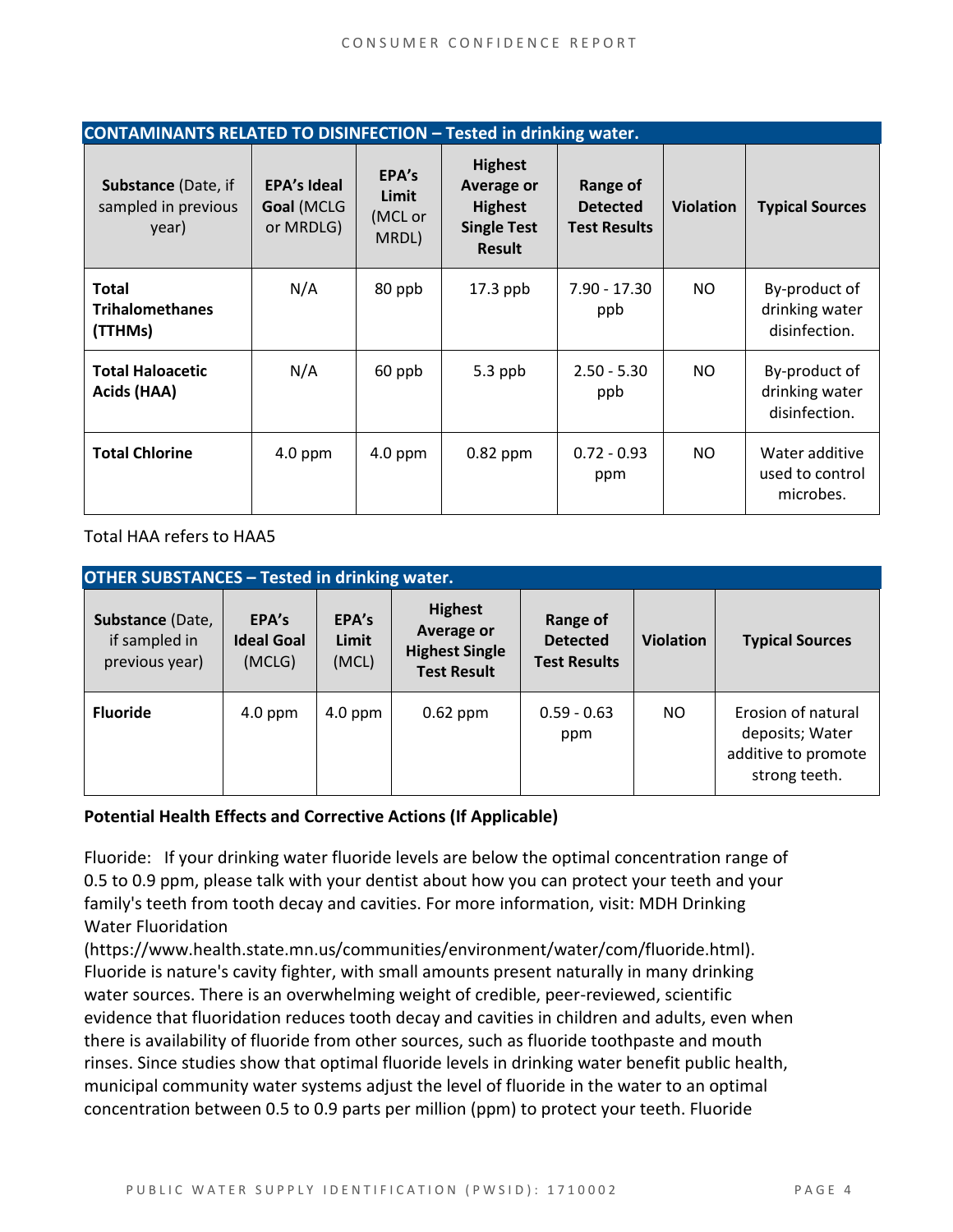| <b>CONTAMINANTS RELATED TO DISINFECTION - Tested in drinking water.</b> |                                               |                                    |                                                                                              |                                                    |                  |                                                  |
|-------------------------------------------------------------------------|-----------------------------------------------|------------------------------------|----------------------------------------------------------------------------------------------|----------------------------------------------------|------------------|--------------------------------------------------|
| Substance (Date, if<br>sampled in previous<br>year)                     | <b>EPA's Ideal</b><br>Goal (MCLG<br>or MRDLG) | EPA's<br>Limit<br>(MCL or<br>MRDL) | <b>Highest</b><br><b>Average or</b><br><b>Highest</b><br><b>Single Test</b><br><b>Result</b> | Range of<br><b>Detected</b><br><b>Test Results</b> | <b>Violation</b> | <b>Typical Sources</b>                           |
| <b>Total</b><br><b>Trihalomethanes</b><br>(TTHMs)                       | N/A                                           | 80 ppb                             | $17.3$ ppb                                                                                   | 7.90 - 17.30<br>ppb                                | NO.              | By-product of<br>drinking water<br>disinfection. |
| <b>Total Haloacetic</b><br>Acids (HAA)                                  | N/A                                           | 60 ppb                             | $5.3$ ppb                                                                                    | $2.50 - 5.30$<br>ppb                               | NO.              | By-product of<br>drinking water<br>disinfection. |
| <b>Total Chlorine</b>                                                   | $4.0$ ppm                                     | $4.0$ ppm                          | $0.82$ ppm                                                                                   | $0.72 - 0.93$<br>ppm                               | NO.              | Water additive<br>used to control<br>microbes.   |

Total HAA refers to HAA5

| <b>OTHER SUBSTANCES - Tested in drinking water.</b> |                                      |                         |                                                                             |                                                    |                  |                                                                               |  |
|-----------------------------------------------------|--------------------------------------|-------------------------|-----------------------------------------------------------------------------|----------------------------------------------------|------------------|-------------------------------------------------------------------------------|--|
| Substance (Date,<br>if sampled in<br>previous year) | EPA's<br><b>Ideal Goal</b><br>(MCLG) | EPA's<br>Limit<br>(MCL) | <b>Highest</b><br>Average or<br><b>Highest Single</b><br><b>Test Result</b> | Range of<br><b>Detected</b><br><b>Test Results</b> | <b>Violation</b> | <b>Typical Sources</b>                                                        |  |
| <b>Fluoride</b>                                     | $4.0$ ppm                            | $4.0$ ppm               | $0.62$ ppm                                                                  | $0.59 - 0.63$<br>ppm                               | NO.              | Erosion of natural<br>deposits; Water<br>additive to promote<br>strong teeth. |  |

### **Potential Health Effects and Corrective Actions (If Applicable)**

Fluoride: If your drinking water fluoride levels are below the optimal concentration range of 0.5 to 0.9 ppm, please talk with your dentist about how you can protect your teeth and your family's teeth from tooth decay and cavities. For more information, visit: MDH Drinking Water Fluoridation

(https://www.health.state.mn.us/communities/environment/water/com/fluoride.html). Fluoride is nature's cavity fighter, with small amounts present naturally in many drinking water sources. There is an overwhelming weight of credible, peer-reviewed, scientific evidence that fluoridation reduces tooth decay and cavities in children and adults, even when there is availability of fluoride from other sources, such as fluoride toothpaste and mouth rinses. Since studies show that optimal fluoride levels in drinking water benefit public health, municipal community water systems adjust the level of fluoride in the water to an optimal concentration between 0.5 to 0.9 parts per million (ppm) to protect your teeth. Fluoride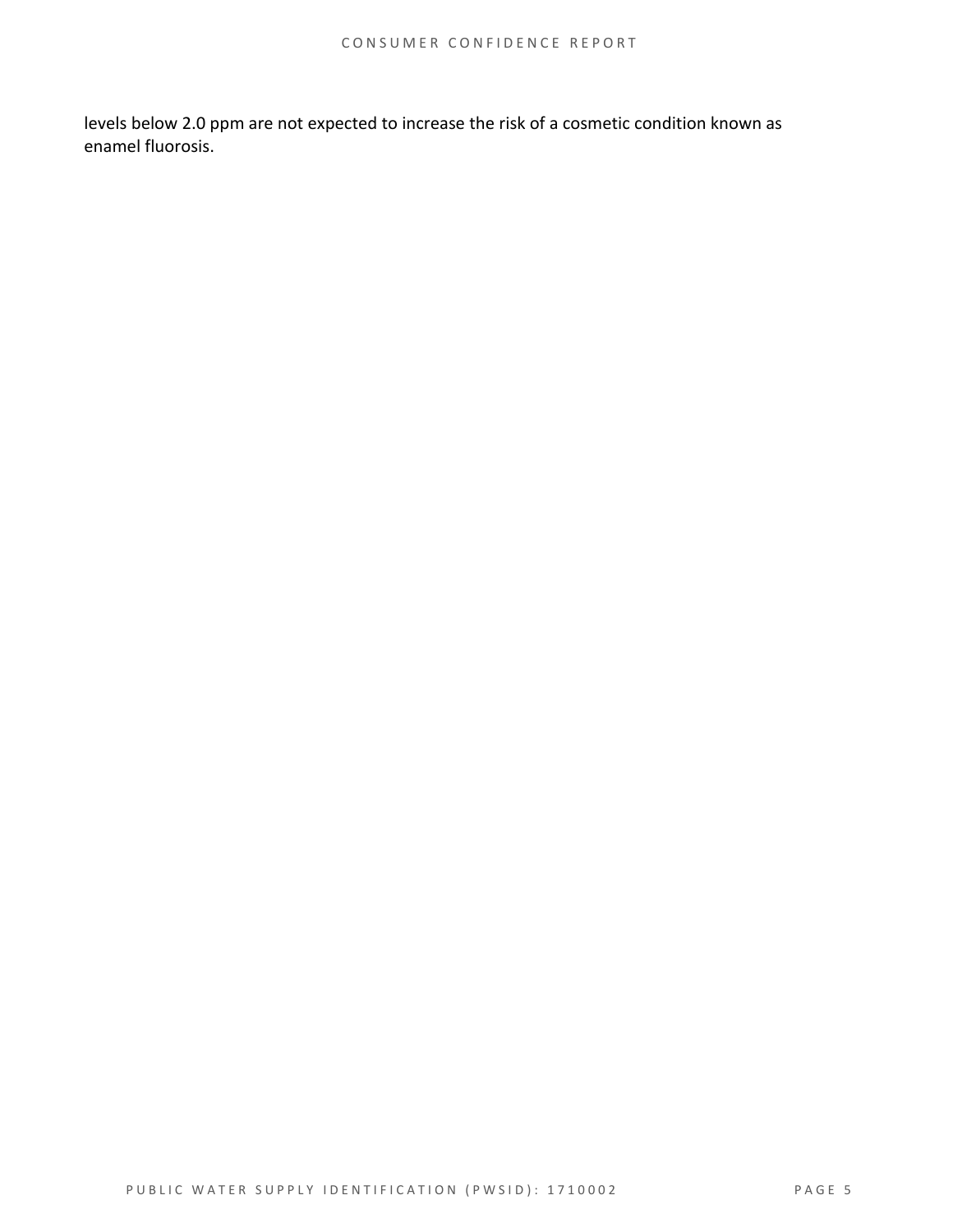levels below 2.0 ppm are not expected to increase the risk of a cosmetic condition known as enamel fluorosis.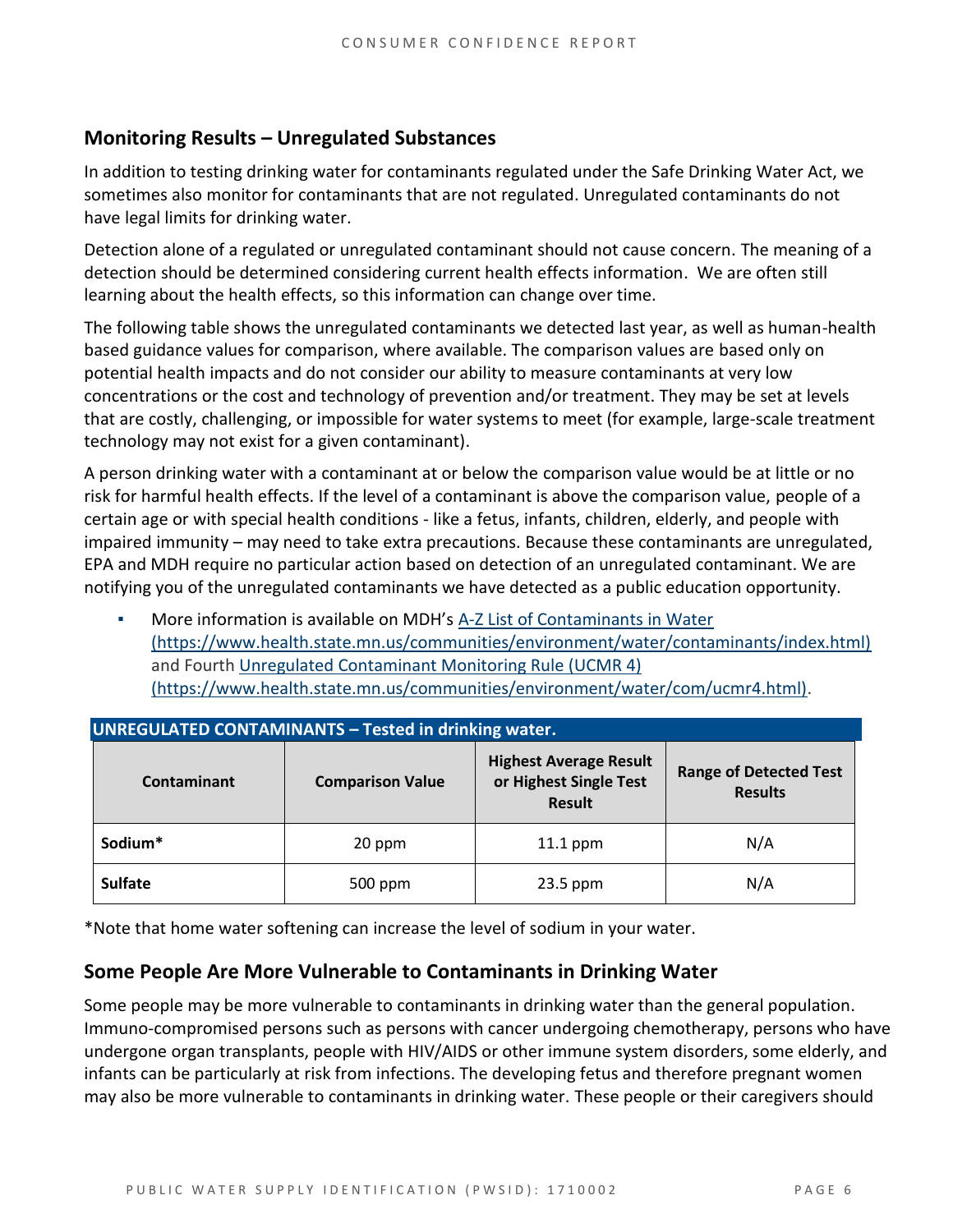### **Monitoring Results – Unregulated Substances**

In addition to testing drinking water for contaminants regulated under the Safe Drinking Water Act, we sometimes also monitor for contaminants that are not regulated. Unregulated contaminants do not have legal limits for drinking water.

Detection alone of a regulated or unregulated contaminant should not cause concern. The meaning of a detection should be determined considering current health effects information. We are often still learning about the health effects, so this information can change over time.

The following table shows the unregulated contaminants we detected last year, as well as human-health based guidance values for comparison, where available. The comparison values are based only on potential health impacts and do not consider our ability to measure contaminants at very low concentrations or the cost and technology of prevention and/or treatment. They may be set at levels that are costly, challenging, or impossible for water systems to meet (for example, large-scale treatment technology may not exist for a given contaminant).

A person drinking water with a contaminant at or below the comparison value would be at little or no risk for harmful health effects. If the level of a contaminant is above the comparison value, people of a certain age or with special health conditions - like a fetus, infants, children, elderly, and people with impaired immunity – may need to take extra precautions. Because these contaminants are unregulated, EPA and MDH require no particular action based on detection of an unregulated contaminant. We are notifying you of the unregulated contaminants we have detected as a public education opportunity.

▪ More information is available on MDH's [A-Z List of Contaminants in Water](https://www.health.state.mn.us/communities/environment/water/contaminants/index.html)  [\(https://www.health.state.mn.us/communities/environment/water/contaminants/index.html\)](https://www.health.state.mn.us/communities/environment/water/contaminants/index.html) and Fourth [Unregulated Contaminant Monitoring Rule \(UCMR 4\)](https://www.health.state.mn.us/communities/environment/water/com/ucmr4.html)  [\(https://www.health.state.mn.us/communities/environment/water/com/ucmr4.html\).](https://www.health.state.mn.us/communities/environment/water/com/ucmr4.html)

| <b>UNREGULATED CONTAMINANTS - Tested in drinking water.</b> |                         |                                                                          |                                                 |  |  |  |  |
|-------------------------------------------------------------|-------------------------|--------------------------------------------------------------------------|-------------------------------------------------|--|--|--|--|
| Contaminant                                                 | <b>Comparison Value</b> | <b>Highest Average Result</b><br>or Highest Single Test<br><b>Result</b> | <b>Range of Detected Test</b><br><b>Results</b> |  |  |  |  |
| Sodium*<br>20 ppm                                           |                         | $11.1$ ppm                                                               | N/A                                             |  |  |  |  |
| <b>Sulfate</b>                                              | 500 ppm                 | 23.5 ppm                                                                 | N/A                                             |  |  |  |  |

\*Note that home water softening can increase the level of sodium in your water.

### **Some People Are More Vulnerable to Contaminants in Drinking Water**

Some people may be more vulnerable to contaminants in drinking water than the general population. Immuno-compromised persons such as persons with cancer undergoing chemotherapy, persons who have undergone organ transplants, people with HIV/AIDS or other immune system disorders, some elderly, and infants can be particularly at risk from infections. The developing fetus and therefore pregnant women may also be more vulnerable to contaminants in drinking water. These people or their caregivers should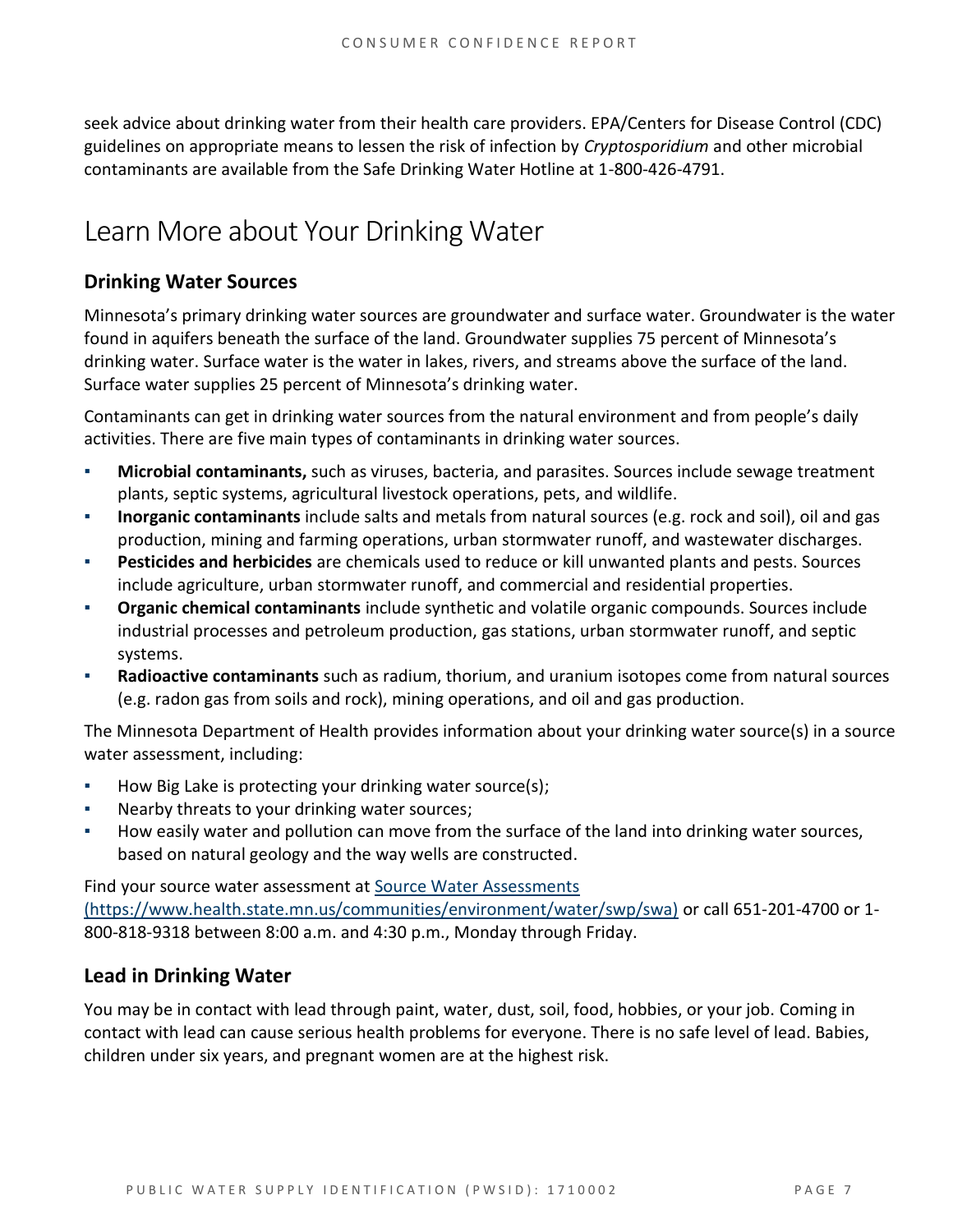seek advice about drinking water from their health care providers. EPA/Centers for Disease Control (CDC) guidelines on appropriate means to lessen the risk of infection by *Cryptosporidium* and other microbial contaminants are available from the Safe Drinking Water Hotline at 1-800-426-4791.

## Learn More about Your Drinking Water

### **Drinking Water Sources**

Minnesota's primary drinking water sources are groundwater and surface water. Groundwater is the water found in aquifers beneath the surface of the land. Groundwater supplies 75 percent of Minnesota's drinking water. Surface water is the water in lakes, rivers, and streams above the surface of the land. Surface water supplies 25 percent of Minnesota's drinking water.

Contaminants can get in drinking water sources from the natural environment and from people's daily activities. There are five main types of contaminants in drinking water sources.

- **Microbial contaminants,** such as viruses, bacteria, and parasites. Sources include sewage treatment plants, septic systems, agricultural livestock operations, pets, and wildlife.
- **Inorganic contaminants** include salts and metals from natural sources (e.g. rock and soil), oil and gas production, mining and farming operations, urban stormwater runoff, and wastewater discharges.
- **Pesticides and herbicides** are chemicals used to reduce or kill unwanted plants and pests. Sources include agriculture, urban stormwater runoff, and commercial and residential properties.
- **Organic chemical contaminants** include synthetic and volatile organic compounds. Sources include industrial processes and petroleum production, gas stations, urban stormwater runoff, and septic systems.
- **Radioactive contaminants** such as radium, thorium, and uranium isotopes come from natural sources (e.g. radon gas from soils and rock), mining operations, and oil and gas production.

The Minnesota Department of Health provides information about your drinking water source(s) in a source water assessment, including:

- How Big Lake is protecting your drinking water source(s);
- Nearby threats to your drinking water sources;
- How easily water and pollution can move from the surface of the land into drinking water sources, based on natural geology and the way wells are constructed.

Find your source water assessment at [Source Water Assessments](https://www.health.state.mn.us/communities/environment/water/swp/swa)  [\(https://www.health.state.mn.us/communities/environment/water/swp/swa\)](https://www.health.state.mn.us/communities/environment/water/swp/swa) or call 651-201-4700 or 1- 800-818-9318 between 8:00 a.m. and 4:30 p.m., Monday through Friday.

### **Lead in Drinking Water**

You may be in contact with lead through paint, water, dust, soil, food, hobbies, or your job. Coming in contact with lead can cause serious health problems for everyone. There is no safe level of lead. Babies, children under six years, and pregnant women are at the highest risk.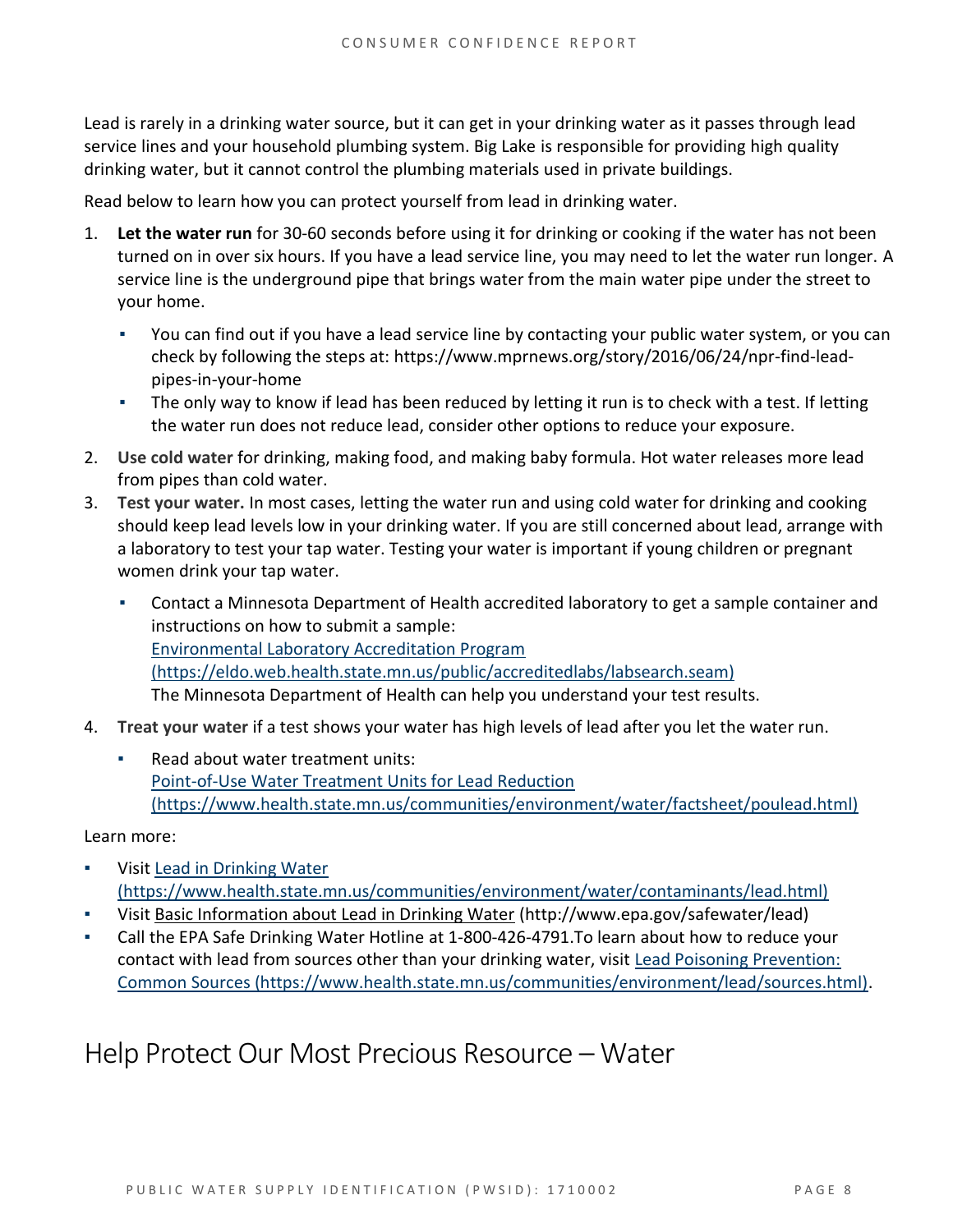Lead is rarely in a drinking water source, but it can get in your drinking water as it passes through lead service lines and your household plumbing system. Big Lake is responsible for providing high quality drinking water, but it cannot control the plumbing materials used in private buildings.

Read below to learn how you can protect yourself from lead in drinking water.

- 1. **Let the water run** for 30-60 seconds before using it for drinking or cooking if the water has not been turned on in over six hours. If you have a lead service line, you may need to let the water run longer. A service line is the underground pipe that brings water from the main water pipe under the street to your home.
	- You can find out if you have a lead service line by contacting your public water system, or you can check by following the steps at: [https://www.mprnews.org/story/2016/06/24/npr-find-lead](https://www.mprnews.org/story/2016/06/24/npr-find-lead-pipes-in-your-home)[pipes-in-your-home](https://www.mprnews.org/story/2016/06/24/npr-find-lead-pipes-in-your-home)
	- The only way to know if lead has been reduced by letting it run is to check with a test. If letting the water run does not reduce lead, consider other options to reduce your exposure.
- 2. **Use cold water** for drinking, making food, and making baby formula. Hot water releases more lead from pipes than cold water.
- 3. **Test your water.** In most cases, letting the water run and using cold water for drinking and cooking should keep lead levels low in your drinking water. If you are still concerned about lead, arrange with a laboratory to test your tap water. Testing your water is important if young children or pregnant women drink your tap water.
	- Contact a Minnesota Department of Health accredited laboratory to get a sample container and instructions on how to submit a sample: [Environmental Laboratory Accreditation Program](https://eldo.web.health.state.mn.us/public/accreditedlabs/labsearch.seam)  [\(https://eldo.web.health.state.mn.us/public/accreditedlabs/labsearch.seam\)](https://eldo.web.health.state.mn.us/public/accreditedlabs/labsearch.seam) The Minnesota Department of Health can help you understand your test results.
- 4. **Treat your water** if a test shows your water has high levels of lead after you let the water run.
	- Read about water treatment units: [Point-of-Use Water Treatment Units for Lead Reduction](https://www.health.state.mn.us/communities/environment/water/factsheet/poulead.html)  [\(https://www.health.state.mn.us/communities/environment/water/factsheet/poulead.html\)](https://www.health.state.mn.us/communities/environment/water/factsheet/poulead.html)

Learn more:

- Visit Lead in Drinking Water [\(https://www.health.state.mn.us/communities/environment/water/contaminants/lead.html\)](https://www.health.state.mn.us/communities/environment/water/contaminants/lead.html)
- Visit [Basic Information about Lead in Drinking Water](http://www.epa.gov/safewater/lead) (http://www.epa.gov/safewater/lead)
- Call the EPA Safe Drinking Water Hotline at 1-800-426-4791. To learn about how to reduce your contact with lead from sources other than your drinking water, visit [Lead Poisoning Prevention:](https://www.health.state.mn.us/communities/environment/lead/sources.html)  [Common Sources \(https://www.health.state.mn.us/communities/environment/lead/sources.html\).](https://www.health.state.mn.us/communities/environment/lead/sources.html)

## Help Protect Our Most Precious Resource – Water